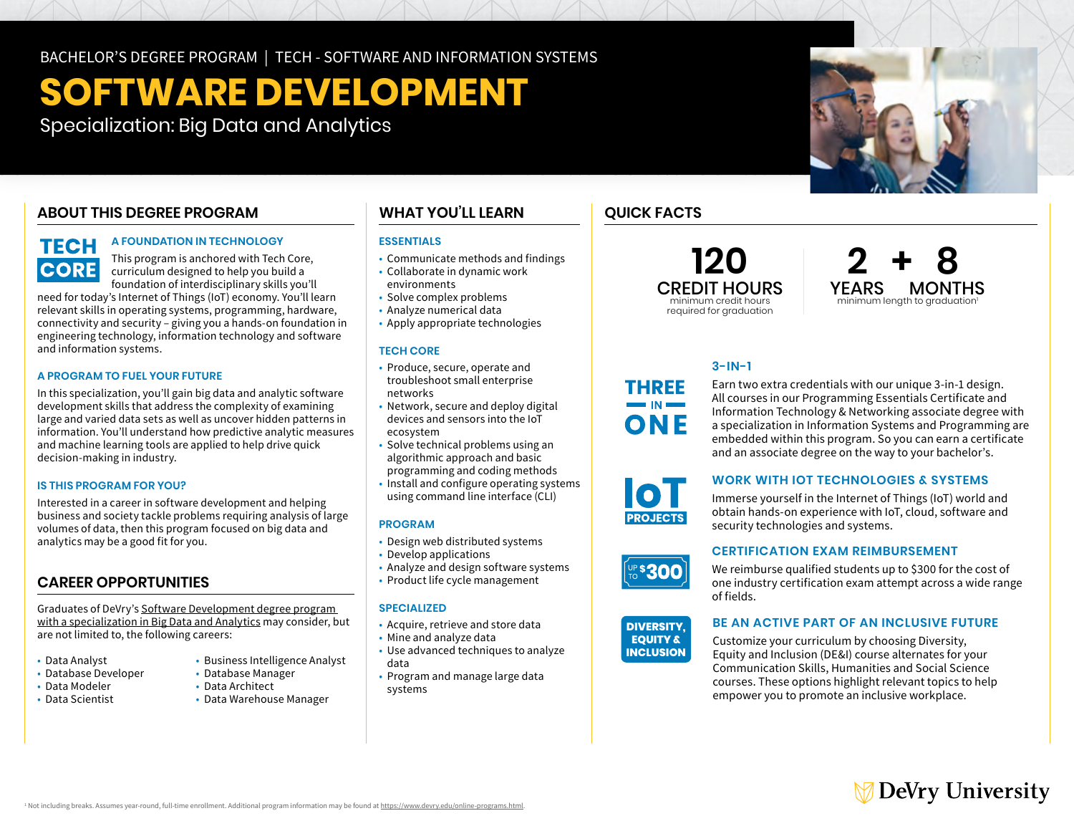BACHELOR'S DEGREE PROGRAM | TECH - SOFTWARE AND INFORMATION SYSTEMS

# **SOFTWARE DEVELOPMENT**

Specialization: Big Data and Analytics

### **ABOUT THIS DEGREE PROGRAM**

## **TECH CORE**

#### **A FOUNDATION IN TECHNOLOGY**

This program is anchored with Tech Core, curriculum designed to help you build a foundation of interdisciplinary skills you'll

need for today's Internet of Things (IoT) economy. You'll learn relevant skills in operating systems, programming, hardware, connectivity and security – giving you a hands-on foundation in engineering technology, information technology and software and information systems.

#### **A PROGRAM TO FUEL YOUR FUTURE**

In this specialization, you'll gain big data and analytic software development skills that address the complexity of examining large and varied data sets as well as uncover hidden patterns in information. You'll understand how predictive analytic measures and machine learning tools are applied to help drive quick decision-making in industry.

#### **IS THIS PROGRAM FOR YOU?**

Interested in a career in software development and helping business and society tackle problems requiring analysis of large volumes of data, then this program focused on big data and analytics may be a good fit for you.

#### **CAREER OPPORTUNITIES**

Graduates of DeVry's [Software Development degree program](https://www.devry.edu/online-programs/bachelors-degrees/software-development/big-data-and-analytics-specialization.html)  [with a specialization in Big Data and Analytics](https://www.devry.edu/online-programs/bachelors-degrees/software-development/big-data-and-analytics-specialization.html) may consider, but are not limited to, the following careers:

- Data Analyst
- $\cdot$  Database Developer
- Data Modeler Data Architect
- Data Scientist Data Warehouse Manager

### **WHAT YOU'LL LEARN**

#### **ESSENTIALS**

- Communicate methods and findings
- • Collaborate in dynamic work environments
- 
- • Solve complex problems • Analyze numerical data
- Apply appropriate technologies

#### **TECH CORE**

- • Produce, secure, operate and troubleshoot small enterprise networks
- • Network, secure and deploy digital devices and sensors into the IoT ecosystem
- • Solve technical problems using an algorithmic approach and basic
- programming and coding methods
- • Install and configure operating systems using command line interface (CLI)

#### **PROGRAM**

- Design web distributed systems
- Develop applications
- Analyze and design software systems
- Product life cycle management

#### **SPECIALIZED**

- Acquire, retrieve and store data
- Mine and analyze data
- • Use advanced techniques to analyze data
- • Program and manage large data systems

### **QUICK FACTS**

required for graduation

### **120 2 + 8** CREDIT HOURS YEARS MONTHS minimum length to graduation<sup>1</sup>

### **3-IN-1**

Earn two extra credentials with our unique 3-in-1 design. All courses in our Programming Essentials Certificate and Information Technology & Networking associate degree with a specialization in Information Systems and Programming are embedded within this program. So you can earn a certificate and an associate degree on the way to your bachelor's.

#### **WORK WITH IOT TECHNOLOGIES & SYSTEMS**

Immerse yourself in the Internet of Things (IoT) world and obtain hands-on experience with IoT, cloud, software and security technologies and systems.

#### **CERTIFICATION EXAM REIMBURSEMENT**

We reimburse qualified students up to \$300 for the cost of one industry certification exam attempt across a wide range of fields.



**UP\$300** 

#### **BE AN ACTIVE PART OF AN INCLUSIVE FUTURE**

Customize your curriculum by choosing Diversity, Equity and Inclusion (DE&I) course alternates for your Communication Skills, Humanities and Social Science courses. These options highlight relevant topics to help empower you to promote an inclusive workplace.



• Business Intelligence Analyst<br>• Database Manager





**THREE** 

ONF